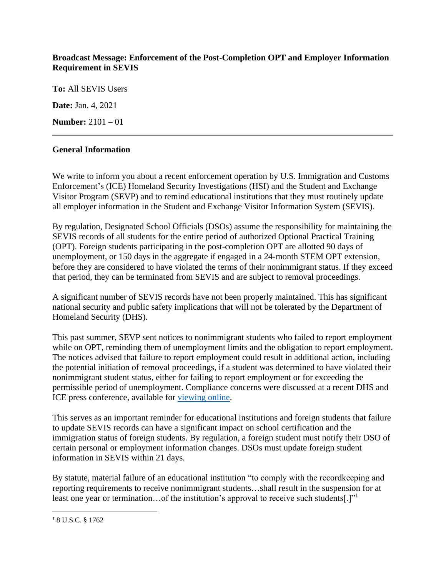## **Broadcast Message: Enforcement of the Post-Completion OPT and Employer Information Requirement in SEVIS**

**To:** All SEVIS Users

**Date:** Jan. 4, 2021

**Number:** 2101 – 01

## **General Information**

We write to inform you about a recent enforcement operation by U.S. Immigration and Customs Enforcement's (ICE) Homeland Security Investigations (HSI) and the Student and Exchange Visitor Program (SEVP) and to remind educational institutions that they must routinely update all employer information in the Student and Exchange Visitor Information System (SEVIS).

By regulation, Designated School Officials (DSOs) assume the responsibility for maintaining the SEVIS records of all students for the entire period of authorized Optional Practical Training (OPT). Foreign students participating in the post-completion OPT are allotted 90 days of unemployment, or 150 days in the aggregate if engaged in a 24-month STEM OPT extension, before they are considered to have violated the terms of their nonimmigrant status. If they exceed that period, they can be terminated from SEVIS and are subject to removal proceedings.

A significant number of SEVIS records have not been properly maintained. This has significant national security and public safety implications that will not be tolerated by the Department of Homeland Security (DHS).

This past summer, SEVP sent notices to nonimmigrant students who failed to report employment while on OPT, reminding them of unemployment limits and the obligation to report employment. The notices advised that failure to report employment could result in additional action, including the potential initiation of removal proceedings, if a student was determined to have violated their nonimmigrant student status, either for failing to report employment or for exceeding the permissible period of unemployment. Compliance concerns were discussed at a recent DHS and ICE press conference, available for [viewing online.](https://www.youtube.com/watch?app=desktop&v=ZcLZhkmtgpY)

This serves as an important reminder for educational institutions and foreign students that failure to update SEVIS records can have a significant impact on school certification and the immigration status of foreign students. By regulation, a foreign student must notify their DSO of certain personal or employment information changes. DSOs must update foreign student information in SEVIS within 21 days.

By statute, material failure of an educational institution "to comply with the recordkeeping and reporting requirements to receive nonimmigrant students…shall result in the suspension for at least one year or termination...of the institution's approval to receive such students[.]"

<sup>1</sup> 8 U.S.C. § 1762